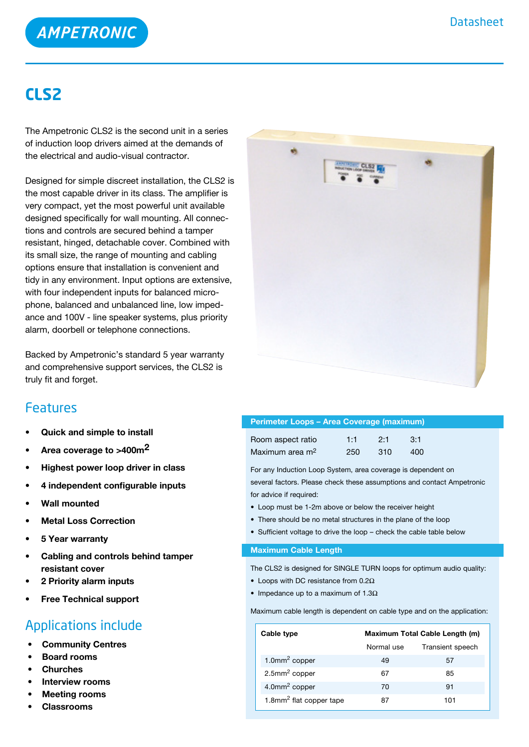

## **CLS2**

The Ampetronic CLS2 is the second unit in a series of induction loop drivers aimed at the demands of the electrical and audio-visual contractor.

Designed for simple discreet installation, the CLS2 is the most capable driver in its class. The amplifier is very compact, yet the most powerful unit available designed specifically for wall mounting. All connections and controls are secured behind a tamper resistant, hinged, detachable cover. Combined with its small size, the range of mounting and cabling options ensure that installation is convenient and tidy in any environment. Input options are extensive, with four independent inputs for balanced microphone, balanced and unbalanced line, low impedance and 100V - line speaker systems, plus priority alarm, doorbell or telephone connections.

Backed by Ampetronic's standard 5 year warranty and comprehensive support services, the CLS2 is truly fit and forget.

### Features

- **• Quick and simple to install**
- **• Area coverage to >400m2**
- **• Highest power loop driver in class**
- **• 4 independent configurable inputs**
- **• Wall mounted**
- **• Metal Loss Correction**
- **• 5 Year warranty**
- **• Cabling and controls behind tamper resistant cover**
- **• 2 Priority alarm inputs**
- **• Free Technical support**

## Applications include

- **Community Centres**
- **Board rooms**
- **Churches**
- **Interview rooms**
- **Meeting rooms**
- **Classrooms**



| Perimeter Loops - Area Coverage (maximum) |     |     |     |  |
|-------------------------------------------|-----|-----|-----|--|
| Room aspect ratio                         | 1:1 | 2.1 | 3:1 |  |
| Maximum area m <sup>2</sup>               | 250 | 310 | 400 |  |

For any Induction Loop System, area coverage is dependent on several factors. Please check these assumptions and contact Ampetronic for advice if required:

- Loop must be 1-2m above or below the receiver height
- There should be no metal structures in the plane of the loop
- Sufficient voltage to drive the loop check the cable table below

#### **Maximum Cable Length**

The CLS2 is designed for SINGLE TURN loops for optimum audio quality:

- Loops with DC resistance from  $0.2\Omega$
- Impedance up to a maximum of  $1.3\Omega$

Maximum cable length is dependent on cable type and on the application:

| Cable type                          | Maximum Total Cable Length (m) |                  |  |
|-------------------------------------|--------------------------------|------------------|--|
|                                     | Normal use                     | Transient speech |  |
| $1.0$ mm <sup>2</sup> copper        | 49                             | 57               |  |
| $2.5$ mm <sup>2</sup> copper        | 67                             | 85               |  |
| 4.0mm <sup>2</sup> copper           | 70                             | 91               |  |
| 1.8mm <sup>2</sup> flat copper tape | 87                             | 101              |  |